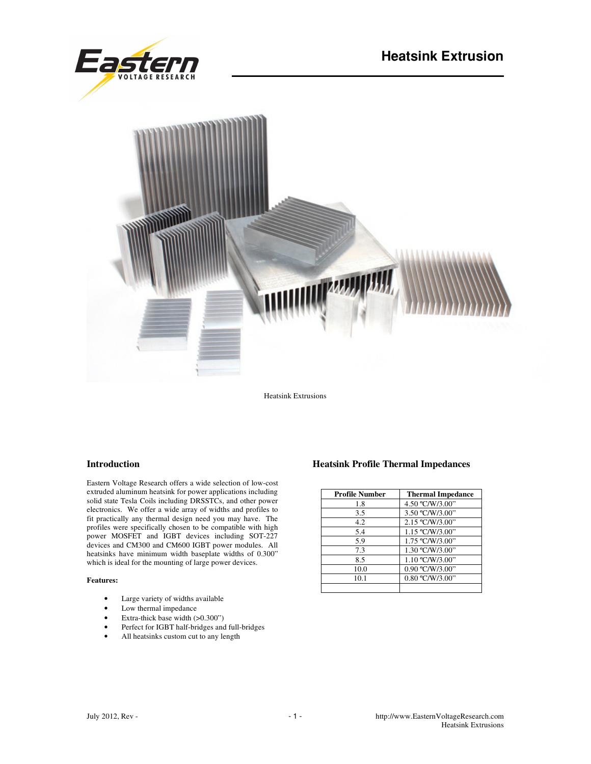



Heatsink Extrusions

## **Introduction**

Eastern Voltage Research offers a wide selection of low-cost extruded aluminum heatsink for power applications including solid state Tesla Coils including DRSSTCs, and other power electronics. We offer a wide array of widths and profiles to fit practically any thermal design need you may have. The profiles were specifically chosen to be compatible with high power MOSFET and IGBT devices including SOT-227 devices and CM300 and CM600 IGBT power modules. All heatsinks have minimum width baseplate widths of 0.300" which is ideal for the mounting of large power devices.

## **Features:**

- Large variety of widths available
- Low thermal impedance
- Extra-thick base width (>0.300")
- Perfect for IGBT half-bridges and full-bridges
- All heatsinks custom cut to any length

## **Heatsink Profile Thermal Impedances**

| <b>Profile Number</b> | <b>Thermal Impedance</b> |
|-----------------------|--------------------------|
| 1.8                   | 4.50 °C/W/3.00"          |
| 3.5                   | 3.50 °C/W/3.00"          |
| 4.2                   | 2.15 °C/W/3.00"          |
| 5.4                   | 1.15 °C/W/3.00"          |
| 5.9                   | 1.75 °C/W/3.00"          |
| 7.3                   | 1.30 °C/W/3.00"          |
| 8.5                   | 1.10 °C/W/3.00"          |
| 10.0                  | 0.90 °C/W/3.00"          |
| 10.1                  | 0.80 °C/W/3.00"          |
|                       |                          |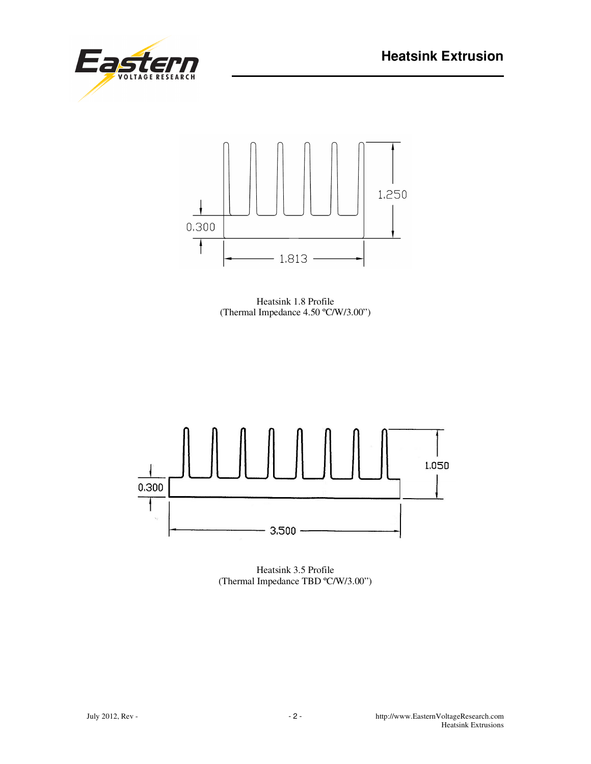



Heatsink 1.8 Profile (Thermal Impedance 4.50 ºC/W/3.00")



Heatsink 3.5 Profile (Thermal Impedance TBD ºC/W/3.00")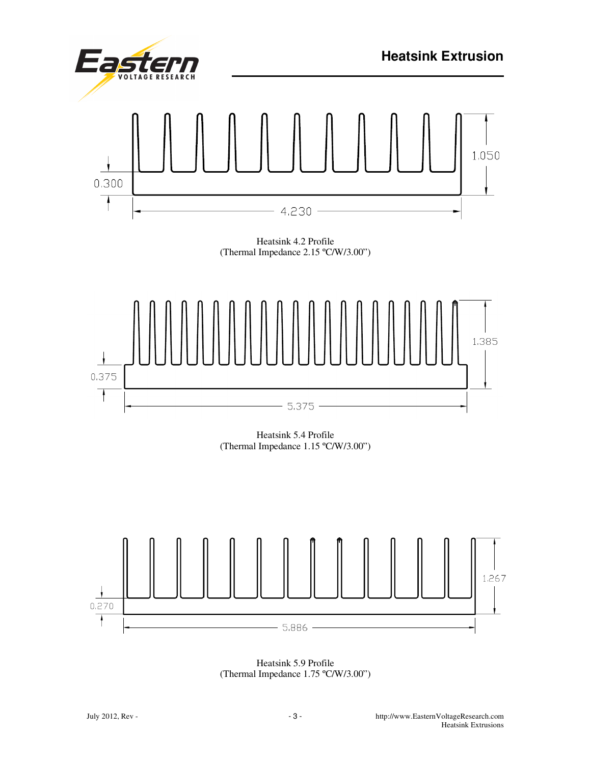



Heatsink 5.9 Profile (Thermal Impedance 1.75 ºC/W/3.00")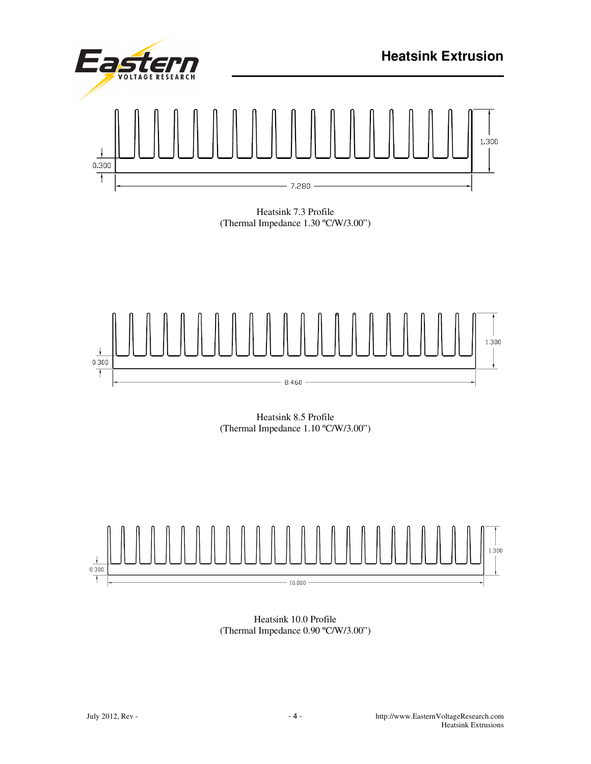

Heatsink 8.5 Profile (Thermal Impedance 1.10 ºC/W/3.00")



Heatsink 10.0 Profile (Thermal Impedance 0.90 ºC/W/3.00")